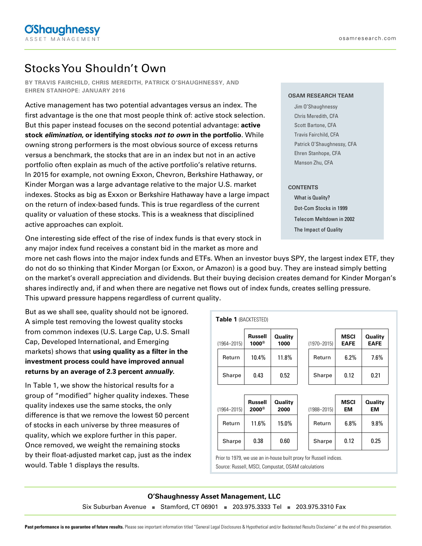# Stocks You Shouldn't Own

**BY TRAVIS FAIRCHILD, CHRIS MEREDITH, PATRICK O'SHAUGHNESSY, AND EHREN STANHOPE: JANUARY 2016**

Active management has two potential advantages versus an index. The first advantage is the one that most people think of: active stock selection. But this paper instead focuses on the second potential advantage: **active stock elimination, or identifying stocks not to own in the portfolio**. While owning strong performers is the most obvious source of excess returns versus a benchmark, the stocks that are in an index but not in an active portfolio often explain as much of the active portfolio's relative returns. In 2015 for example, not owning Exxon, Chevron, Berkshire Hathaway, or Kinder Morgan was a large advantage relative to the major U.S. market indexes. Stocks as big as Exxon or Berkshire Hathaway have a large impact on the return of index-based funds. This is true regardless of the current quality or valuation of these stocks. This is a weakness that disciplined active approaches can exploit.

Patrick O'Shaughnessy, CFA Ehren Stanhope, CFA

Manson Zhu, CFA

**OSAM RESEARCH TEAM** Jim O'Shaughnessy Chris Meredith, CFA Scott Bartone, CFA Travis Fairchild, CFA

#### **CONTENTS**

What is Quality? Dot-Com Stocks in 1999 Telecom Meltdown in 2002 The Impact of Quality

One interesting side effect of the rise of index funds is that every stock in any major index fund receives a constant bid in the market as more and

more net cash flows into the major index funds and ETFs. When an investor buys SPY, the largest index ETF, they do not do so thinking that Kinder Morgan (or Exxon, or Amazon) is a good buy. They are instead simply betting on the market's overall appreciation and dividends. But their buying decision creates demand for Kinder Morgan's shares indirectly and, if and when there are negative net flows out of index funds, creates selling pressure. This upward pressure happens regardless of current quality.

But as we shall see, quality should not be ignored. A simple test removing the lowest quality stocks from common indexes (U.S. Large Cap, U.S. Small Cap, Developed International, and Emerging markets) shows that **using quality as a filter in the investment process could have improved annual returns by an average of 2.3 percent annually.** 

In Table 1, we show the historical results for a group of "modified" higher quality indexes. These quality indexes use the same stocks, the only difference is that we remove the lowest 50 percent of stocks in each universe by three measures of quality, which we explore further in this paper. Once removed, we weight the remaining stocks by their float-adjusted market cap, just as the index would. Table 1 displays the results.

| <b>Table 1 (BACKTESTED)</b> |                         |                        |                 |                            |                        |  |
|-----------------------------|-------------------------|------------------------|-----------------|----------------------------|------------------------|--|
| $(1964 - 2015)$             | Russell<br>$1000^\circ$ | <b>Quality</b><br>1000 | $(1970 - 2015)$ | <b>MSCI</b><br><b>EAFE</b> | Quality<br><b>EAFE</b> |  |
| Return                      | 10.4%                   | 11.8%                  | Return          | 6.2%                       | 7.6%                   |  |
| Sharpe                      | 0.43                    | 0.52                   | Sharpe          | 0.12                       | 0.21                   |  |
|                             |                         |                        |                 |                            |                        |  |
| $(1964 - 2015)$             | Russell<br>$2000^\circ$ | Quality<br>2000        | $(1988 - 2015)$ | <b>MSCI</b><br>EM          | Quality<br>EM          |  |
| Return                      | 11.6%                   | 15.0%                  | Return          | 6.8%                       | 9.8%                   |  |
| Sharpe                      | 0.38                    | 0.60                   | Sharpe          | 0.12                       | 0.25                   |  |
|                             |                         |                        |                 |                            |                        |  |

Prior to 1979, we use an in-house built proxy for Russell indices. Source: Russell, MSCI, Compustat, OSAM calculations

#### **O'Shaughnessy Asset Management, LLC**

Six Suburban Avenue **■** Stamford, CT 06901 **■** 203.975.3333 Tel **■** 203.975.3310 Fax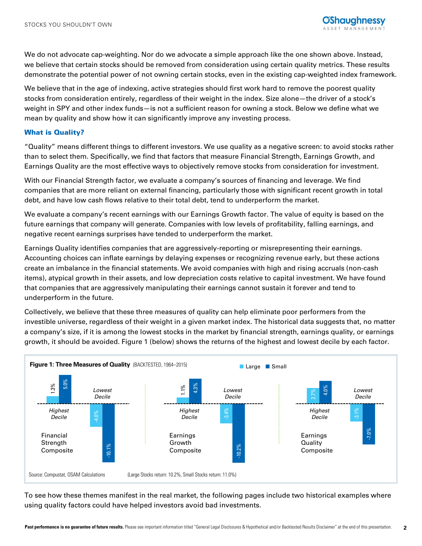

We do not advocate cap-weighting. Nor do we advocate a simple approach like the one shown above. Instead, we believe that certain stocks should be removed from consideration using certain quality metrics. These results demonstrate the potential power of not owning certain stocks, even in the existing cap-weighted index framework.

We believe that in the age of indexing, active strategies should first work hard to remove the poorest quality stocks from consideration entirely, regardless of their weight in the index. Size alone—the driver of a stock's weight in SPY and other index funds—is not a sufficient reason for owning a stock. Below we define what we mean by quality and show how it can significantly improve any investing process.

#### What is Quality?

"Quality" means different things to different investors. We use quality as a negative screen: to avoid stocks rather than to select them. Specifically, we find that factors that measure Financial Strength, Earnings Growth, and Earnings Quality are the most effective ways to objectively remove stocks from consideration for investment.

With our Financial Strength factor, we evaluate a company's sources of financing and leverage. We find companies that are more reliant on external financing, particularly those with significant recent growth in total debt, and have low cash flows relative to their total debt, tend to underperform the market.

We evaluate a company's recent earnings with our Earnings Growth factor. The value of equity is based on the future earnings that company will generate. Companies with low levels of profitability, falling earnings, and negative recent earnings surprises have tended to underperform the market.

Earnings Quality identifies companies that are aggressively-reporting or misrepresenting their earnings. Accounting choices can inflate earnings by delaying expenses or recognizing revenue early, but these actions create an imbalance in the financial statements. We avoid companies with high and rising accruals (non-cash items), atypical growth in their assets, and low depreciation costs relative to capital investment. We have found that companies that are aggressively manipulating their earnings cannot sustain it forever and tend to underperform in the future.

Collectively, we believe that these three measures of quality can help eliminate poor performers from the investible universe, regardless of their weight in a given market index. The historical data suggests that, no matter a company's size, if it is among the lowest stocks in the market by financial strength, earnings quality, or earnings growth, it should be avoided. Figure 1 (below) shows the returns of the highest and lowest decile by each factor.



To see how these themes manifest in the real market, the following pages include two historical examples where using quality factors could have helped investors avoid bad investments.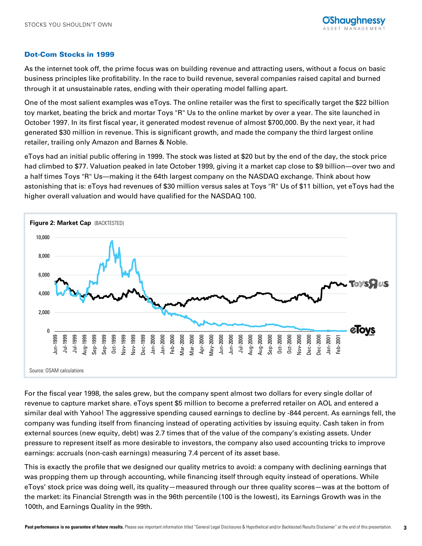## Dot-Com Stocks in 1999

As the internet took off, the prime focus was on building revenue and attracting users, without a focus on basic business principles like profitability. In the race to build revenue, several companies raised capital and burned through it at unsustainable rates, ending with their operating model falling apart.

One of the most salient examples was eToys. The online retailer was the first to specifically target the \$22 billion toy market, beating the brick and mortar Toys "R" Us to the online market by over a year. The site launched in October 1997. In its first fiscal year, it generated modest revenue of almost \$700,000. By the next year, it had generated \$30 million in revenue. This is significant growth, and made the company the third largest online retailer, trailing only Amazon and Barnes & Noble.

eToys had an initial public offering in 1999. The stock was listed at \$20 but by the end of the day, the stock price had climbed to \$77. Valuation peaked in late October 1999, giving it a market cap close to \$9 billion—over two and a half times Toys "R" Us―making it the 64th largest company on the NASDAQ exchange. Think about how astonishing that is: eToys had revenues of \$30 million versus sales at Toys "R" Us of \$11 billion, yet eToys had the higher overall valuation and would have qualified for the NASDAQ 100.



For the fiscal year 1998, the sales grew, but the company spent almost two dollars for every single dollar of revenue to capture market share. eToys spent \$5 million to become a preferred retailer on AOL and entered a similar deal with Yahoo! The aggressive spending caused earnings to decline by -844 percent. As earnings fell, the company was funding itself from financing instead of operating activities by issuing equity. Cash taken in from external sources (new equity, debt) was 2.7 times that of the value of the company's existing assets. Under pressure to represent itself as more desirable to investors, the company also used accounting tricks to improve earnings: accruals (non-cash earnings) measuring 7.4 percent of its asset base.

This is exactly the profile that we designed our quality metrics to avoid: a company with declining earnings that was propping them up through accounting, while financing itself through equity instead of operations. While eToys' stock price was doing well, its quality—measured through our three quality scores—was at the bottom of the market: its Financial Strength was in the 96th percentile (100 is the lowest), its Earnings Growth was in the 100th, and Earnings Quality in the 99th.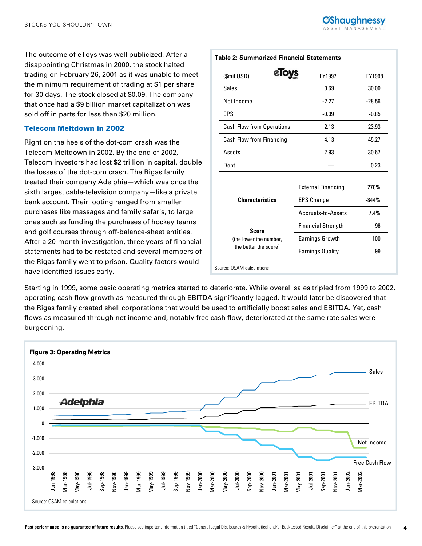The outcome of eToys was well publicized. After a disappointing Christmas in 2000, the stock halted trading on February 26, 2001 as it was unable to meet the minimum requirement of trading at \$1 per share for 30 days. The stock closed at \$0.09. The company that once had a \$9 billion market capitalization was sold off in parts for less than \$20 million.

## Telecom Meltdown in 2002

Right on the heels of the dot-com crash was the Telecom Meltdown in 2002. By the end of 2002, Telecom investors had lost \$2 trillion in capital, double the losses of the dot-com crash. The Rigas family treated their company Adelphia—which was once the sixth largest cable-television company—like a private bank account. Their looting ranged from smaller purchases like massages and family safaris, to large ones such as funding the purchases of hockey teams and golf courses through off-balance-sheet entities. After a 20-month investigation, three years of financial statements had to be restated and several members of the Rigas family went to prison. Quality factors would have identified issues early.

# Sales 30.00 Net Income 2.27 -28.56

| EPS                              | -0.09   | -0.85    |
|----------------------------------|---------|----------|
| <b>Cash Flow from Operations</b> | $-2.13$ | $-23.93$ |
| Cash Flow from Financing         | 4.13    | 45.27    |
| Assets                           | 2.93    | 30.67    |
| Debt                             |         | 0.23     |
|                                  |         |          |

 $(Smi \cup SD)$  **CTOYS**  $FY1997$   $FY1998$ 

**Table 2: Summarized Financial Statements**

|                                                          | <b>External Financing</b> | 270%    |
|----------------------------------------------------------|---------------------------|---------|
| <b>Characteristics</b>                                   | <b>EPS Change</b>         | $-844%$ |
|                                                          | Accruals-to-Assets        | $7.4\%$ |
| Score<br>(the lower the number,<br>the better the score) | <b>Financial Strength</b> | 96      |
|                                                          | <b>Earnings Growth</b>    | 100     |
|                                                          | <b>Earnings Quality</b>   | 99      |

Source: OSAM calculations

Starting in 1999, some basic operating metrics started to deteriorate. While overall sales tripled from 1999 to 2002, operating cash flow growth as measured through EBITDA significantly lagged. It would later be discovered that the Rigas family created shell corporations that would be used to artificially boost sales and EBITDA. Yet, cash flows as measured through net income and, notably free cash flow, deteriorated at the same rate sales were burgeoning.

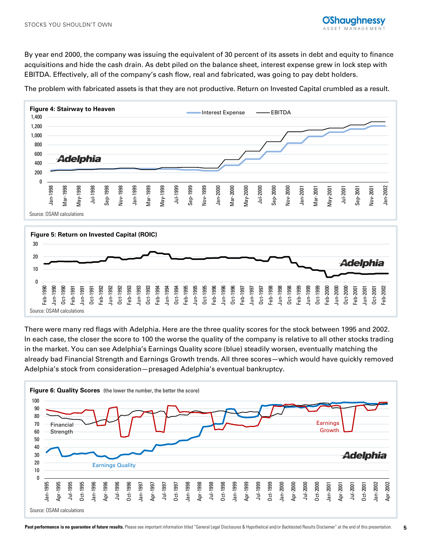By year end 2000, the company was issuing the equivalent of 30 percent of its assets in debt and equity to finance acquisitions and hide the cash drain. As debt piled on the balance sheet, interest expense grew in lock step with EBITDA. Effectively, all of the company's cash flow, real and fabricated, was going to pay debt holders.

The problem with fabricated assets is that they are not productive. Return on Invested Capital crumbled as a result.



There were many red flags with Adelphia. Here are the three quality scores for the stock between 1995 and 2002. In each case, the closer the score to 100 the worse the quality of the company is relative to all other stocks trading in the market. You can see Adelphia's Earnings Quality score (blue) steadily worsen, eventually matching the already bad Financial Strength and Earnings Growth trends. All three scores—which would have quickly removed Adelphia's stock from consideration—presaged Adelphia's eventual bankruptcy.